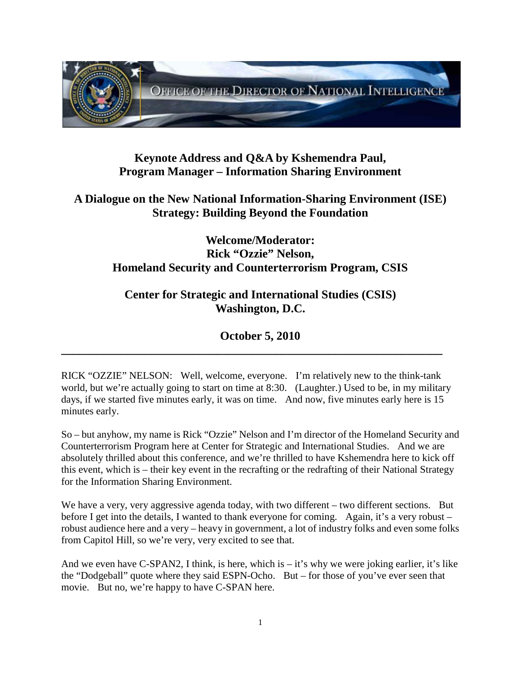

### **Keynote Address and Q&A by Kshemendra Paul, Program Manager – Information Sharing Environment**

# **A Dialogue on the New National Information-Sharing Environment (ISE) Strategy: Building Beyond the Foundation**

### **Welcome/Moderator: Rick "Ozzie" Nelson, Homeland Security and Counterterrorism Program, CSIS**

### **Center for Strategic and International Studies (CSIS) Washington, D.C.**

# **October 5, 2010**

**\_\_\_\_\_\_\_\_\_\_\_\_\_\_\_\_\_\_\_\_\_\_\_\_\_\_\_\_\_\_\_\_\_\_\_\_\_\_\_\_\_\_\_\_\_\_\_\_\_\_\_\_\_\_\_\_\_\_\_\_\_\_\_\_**

RICK "OZZIE" NELSON: Well, welcome, everyone. I'm relatively new to the think-tank world, but we're actually going to start on time at 8:30. (Laughter.) Used to be, in my military days, if we started five minutes early, it was on time. And now, five minutes early here is 15 minutes early.

So – but anyhow, my name is Rick "Ozzie" Nelson and I'm director of the Homeland Security and Counterterrorism Program here at Center for Strategic and International Studies. And we are absolutely thrilled about this conference, and we're thrilled to have Kshemendra here to kick off this event, which is – their key event in the recrafting or the redrafting of their National Strategy for the Information Sharing Environment.

We have a very, very aggressive agenda today, with two different – two different sections. But before I get into the details, I wanted to thank everyone for coming. Again, it's a very robust – robust audience here and a very – heavy in government, a lot of industry folks and even some folks from Capitol Hill, so we're very, very excited to see that.

And we even have  $C$ -SPAN2, I think, is here, which is  $-$  it's why we were joking earlier, it's like the "Dodgeball" quote where they said ESPN-Ocho. But – for those of you've ever seen that movie. But no, we're happy to have C-SPAN here.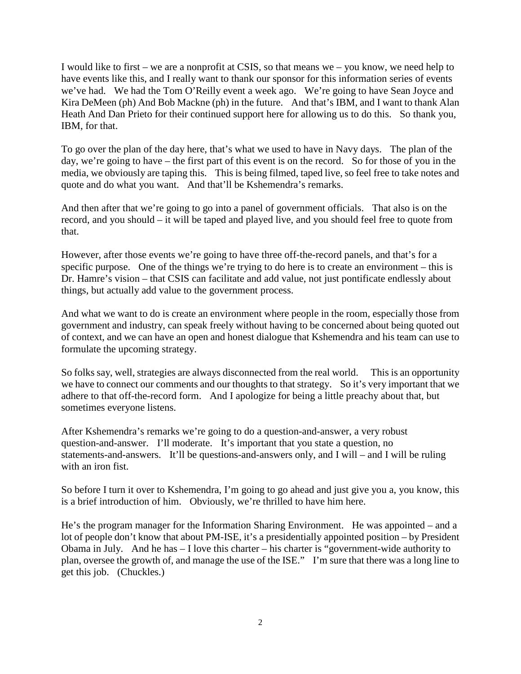I would like to first – we are a nonprofit at CSIS, so that means we – you know, we need help to have events like this, and I really want to thank our sponsor for this information series of events we've had. We had the Tom O'Reilly event a week ago. We're going to have Sean Joyce and Kira DeMeen (ph) And Bob Mackne (ph) in the future. And that's IBM, and I want to thank Alan Heath And Dan Prieto for their continued support here for allowing us to do this. So thank you, IBM, for that.

To go over the plan of the day here, that's what we used to have in Navy days. The plan of the day, we're going to have – the first part of this event is on the record. So for those of you in the media, we obviously are taping this. This is being filmed, taped live, so feel free to take notes and quote and do what you want. And that'll be Kshemendra's remarks.

And then after that we're going to go into a panel of government officials. That also is on the record, and you should – it will be taped and played live, and you should feel free to quote from that.

However, after those events we're going to have three off-the-record panels, and that's for a specific purpose. One of the things we're trying to do here is to create an environment – this is Dr. Hamre's vision – that CSIS can facilitate and add value, not just pontificate endlessly about things, but actually add value to the government process.

And what we want to do is create an environment where people in the room, especially those from government and industry, can speak freely without having to be concerned about being quoted out of context, and we can have an open and honest dialogue that Kshemendra and his team can use to formulate the upcoming strategy.

So folks say, well, strategies are always disconnected from the real world. This is an opportunity we have to connect our comments and our thoughts to that strategy. So it's very important that we adhere to that off-the-record form. And I apologize for being a little preachy about that, but sometimes everyone listens.

After Kshemendra's remarks we're going to do a question-and-answer, a very robust question-and-answer. I'll moderate. It's important that you state a question, no statements-and-answers. It'll be questions-and-answers only, and I will – and I will be ruling with an iron fist.

So before I turn it over to Kshemendra, I'm going to go ahead and just give you a, you know, this is a brief introduction of him. Obviously, we're thrilled to have him here.

He's the program manager for the Information Sharing Environment. He was appointed – and a lot of people don't know that about PM-ISE, it's a presidentially appointed position – by President Obama in July. And he has – I love this charter – his charter is "government-wide authority to plan, oversee the growth of, and manage the use of the ISE." I'm sure that there was a long line to get this job. (Chuckles.)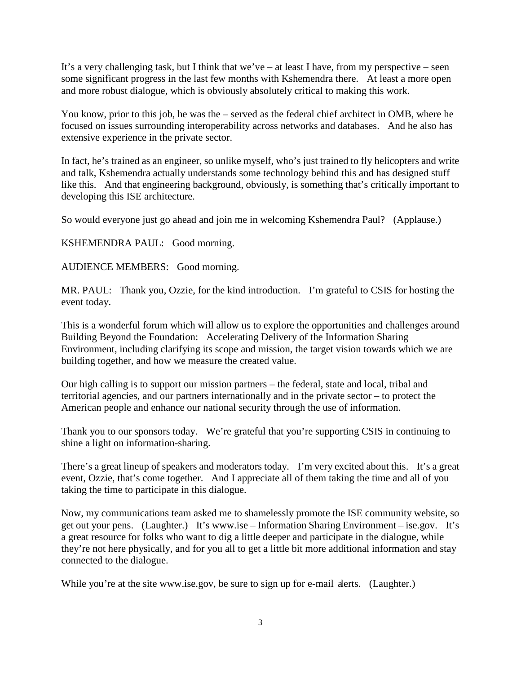It's a very challenging task, but I think that we've – at least I have, from my perspective – seen some significant progress in the last few months with Kshemendra there. At least a more open and more robust dialogue, which is obviously absolutely critical to making this work.

You know, prior to this job, he was the – served as the federal chief architect in OMB, where he focused on issues surrounding interoperability across networks and databases. And he also has extensive experience in the private sector.

In fact, he's trained as an engineer, so unlike myself, who's just trained to fly helicopters and write and talk, Kshemendra actually understands some technology behind this and has designed stuff like this. And that engineering background, obviously, is something that's critically important to developing this ISE architecture.

So would everyone just go ahead and join me in welcoming Kshemendra Paul? (Applause.)

KSHEMENDRA PAUL: Good morning.

AUDIENCE MEMBERS: Good morning.

MR. PAUL: Thank you, Ozzie, for the kind introduction. I'm grateful to CSIS for hosting the event today.

This is a wonderful forum which will allow us to explore the opportunities and challenges around Building Beyond the Foundation: Accelerating Delivery of the Information Sharing Environment, including clarifying its scope and mission, the target vision towards which we are building together, and how we measure the created value.

Our high calling is to support our mission partners – the federal, state and local, tribal and territorial agencies, and our partners internationally and in the private sector – to protect the American people and enhance our national security through the use of information.

Thank you to our sponsors today. We're grateful that you're supporting CSIS in continuing to shine a light on information-sharing.

There's a great lineup of speakers and moderators today. I'm very excited about this. It's a great event, Ozzie, that's come together. And I appreciate all of them taking the time and all of you taking the time to participate in this dialogue.

Now, my communications team asked me to shamelessly promote the ISE community website, so get out your pens. (Laughter.) It's www.ise – Information Sharing Environment – ise.gov. It's a great resource for folks who want to dig a little deeper and participate in the dialogue, while they're not here physically, and for you all to get a little bit more additional information and stay connected to the dialogue.

While you're at the site www.ise.gov, be sure to sign up for e-mail alerts. (Laughter.)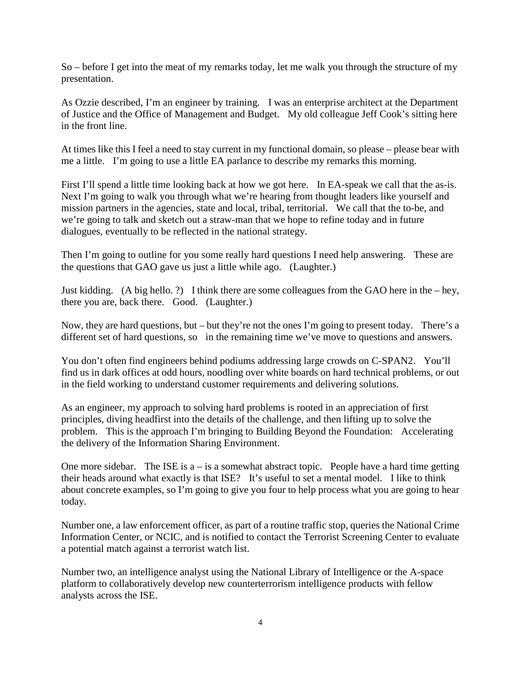So – before I get into the meat of my remarks today, let me walk you through the structure of my presentation.

As Ozzie described, I'm an engineer by training. I was an enterprise architect at the Department of Justice and the Office of Management and Budget. My old colleague Jeff Cook's sitting here in the front line.

At times like this I feel a need to stay current in my functional domain, so please – please bear with me a little. I'm going to use a little EA parlance to describe my remarks this morning.

First I'll spend a little time looking back at how we got here. In EA-speak we call that the as-is. Next I'm going to walk you through what we're hearing from thought leaders like yourself and mission partners in the agencies, state and local, tribal, territorial. We call that the to-be, and we're going to talk and sketch out a straw-man that we hope to refine today and in future dialogues, eventually to be reflected in the national strategy.

Then I'm going to outline for you some really hard questions I need help answering. These are the questions that GAO gave us just a little while ago. (Laughter.)

Just kidding. (A big hello. ?) I think there are some colleagues from the GAO here in the – hey, there you are, back there. Good. (Laughter.)

Now, they are hard questions, but – but they're not the ones I'm going to present today. There's a different set of hard questions, so in the remaining time we've move to questions and answers.

You don't often find engineers behind podiums addressing large crowds on C-SPAN2. You'll find us in dark offices at odd hours, noodling over white boards on hard technical problems, or out in the field working to understand customer requirements and delivering solutions.

As an engineer, my approach to solving hard problems is rooted in an appreciation of first principles, diving headfirst into the details of the challenge, and then lifting up to solve the problem. This is the approach I'm bringing to Building Beyond the Foundation: Accelerating the delivery of the Information Sharing Environment.

One more sidebar. The ISE is  $a - is a$  somewhat abstract topic. People have a hard time getting their heads around what exactly is that ISE? It's useful to set a mental model. I like to think about concrete examples, so I'm going to give you four to help process what you are going to hear today.

Number one, a law enforcement officer, as part of a routine traffic stop, queries the National Crime Information Center, or NCIC, and is notified to contact the Terrorist Screening Center to evaluate a potential match against a terrorist watch list.

Number two, an intelligence analyst using the National Library of Intelligence or the A-space platform to collaboratively develop new counterterrorism intelligence products with fellow analysts across the ISE.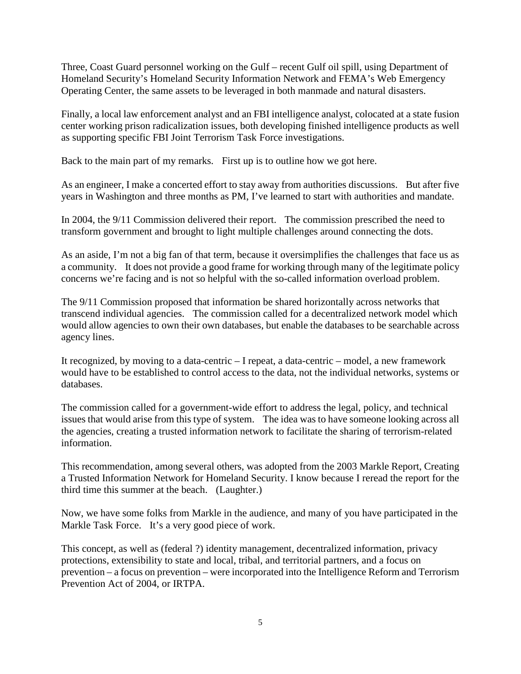Three, Coast Guard personnel working on the Gulf – recent Gulf oil spill, using Department of Homeland Security's Homeland Security Information Network and FEMA's Web Emergency Operating Center, the same assets to be leveraged in both manmade and natural disasters.

Finally, a local law enforcement analyst and an FBI intelligence analyst, colocated at a state fusion center working prison radicalization issues, both developing finished intelligence products as well as supporting specific FBI Joint Terrorism Task Force investigations.

Back to the main part of my remarks. First up is to outline how we got here.

As an engineer, I make a concerted effort to stay away from authorities discussions. But after five years in Washington and three months as PM, I've learned to start with authorities and mandate.

In 2004, the 9/11 Commission delivered their report. The commission prescribed the need to transform government and brought to light multiple challenges around connecting the dots.

As an aside, I'm not a big fan of that term, because it oversimplifies the challenges that face us as a community. It does not provide a good frame for working through many of the legitimate policy concerns we're facing and is not so helpful with the so-called information overload problem.

The 9/11 Commission proposed that information be shared horizontally across networks that transcend individual agencies. The commission called for a decentralized network model which would allow agencies to own their own databases, but enable the databases to be searchable across agency lines.

It recognized, by moving to a data-centric – I repeat, a data-centric – model, a new framework would have to be established to control access to the data, not the individual networks, systems or databases.

The commission called for a government-wide effort to address the legal, policy, and technical issues that would arise from this type of system. The idea was to have someone looking across all the agencies, creating a trusted information network to facilitate the sharing of terrorism-related information.

This recommendation, among several others, was adopted from the 2003 Markle Report, Creating a Trusted Information Network for Homeland Security. I know because I reread the report for the third time this summer at the beach. (Laughter.)

Now, we have some folks from Markle in the audience, and many of you have participated in the Markle Task Force. It's a very good piece of work.

This concept, as well as (federal ?) identity management, decentralized information, privacy protections, extensibility to state and local, tribal, and territorial partners, and a focus on prevention – a focus on prevention – were incorporated into the Intelligence Reform and Terrorism Prevention Act of 2004, or IRTPA.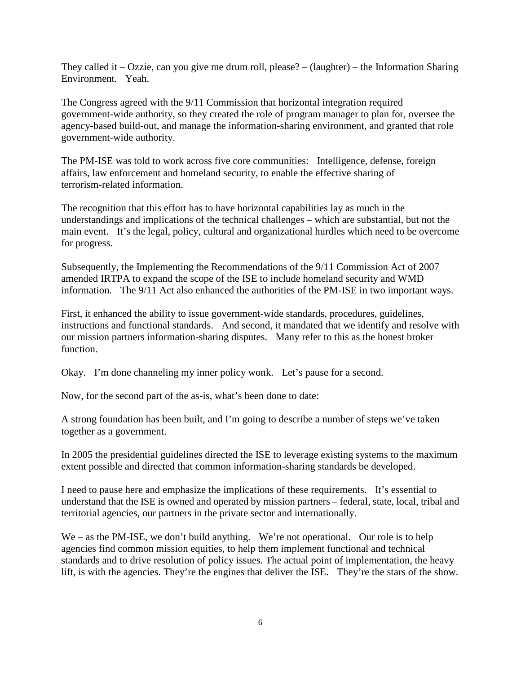They called it – Ozzie, can you give me drum roll, please? – (laughter) – the Information Sharing Environment. Yeah.

The Congress agreed with the 9/11 Commission that horizontal integration required government-wide authority, so they created the role of program manager to plan for, oversee the agency-based build-out, and manage the information-sharing environment, and granted that role government-wide authority.

The PM-ISE was told to work across five core communities: Intelligence, defense, foreign affairs, law enforcement and homeland security, to enable the effective sharing of terrorism-related information.

The recognition that this effort has to have horizontal capabilities lay as much in the understandings and implications of the technical challenges – which are substantial, but not the main event. It's the legal, policy, cultural and organizational hurdles which need to be overcome for progress.

Subsequently, the Implementing the Recommendations of the 9/11 Commission Act of 2007 amended IRTPA to expand the scope of the ISE to include homeland security and WMD information. The 9/11 Act also enhanced the authorities of the PM-ISE in two important ways.

First, it enhanced the ability to issue government-wide standards, procedures, guidelines, instructions and functional standards. And second, it mandated that we identify and resolve with our mission partners information-sharing disputes. Many refer to this as the honest broker function.

Okay. I'm done channeling my inner policy wonk. Let's pause for a second.

Now, for the second part of the as-is, what's been done to date:

A strong foundation has been built, and I'm going to describe a number of steps we've taken together as a government.

In 2005 the presidential guidelines directed the ISE to leverage existing systems to the maximum extent possible and directed that common information-sharing standards be developed.

I need to pause here and emphasize the implications of these requirements. It's essential to understand that the ISE is owned and operated by mission partners – federal, state, local, tribal and territorial agencies, our partners in the private sector and internationally.

We – as the PM-ISE, we don't build anything. We're not operational. Our role is to help agencies find common mission equities, to help them implement functional and technical standards and to drive resolution of policy issues. The actual point of implementation, the heavy lift, is with the agencies. They're the engines that deliver the ISE. They're the stars of the show.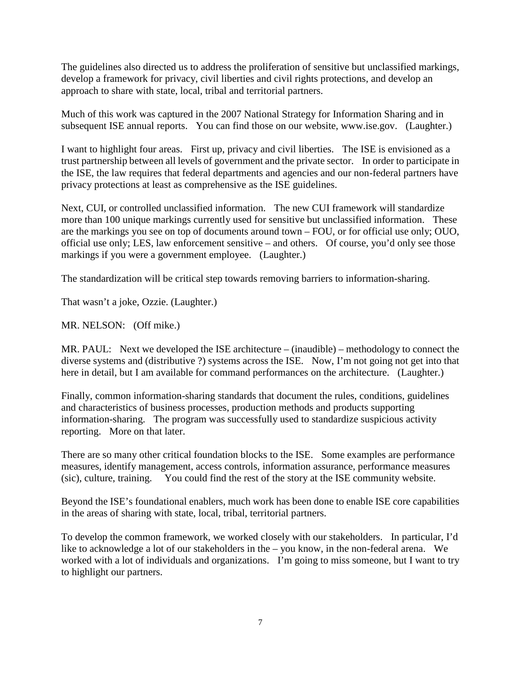The guidelines also directed us to address the proliferation of sensitive but unclassified markings, develop a framework for privacy, civil liberties and civil rights protections, and develop an approach to share with state, local, tribal and territorial partners.

Much of this work was captured in the 2007 National Strategy for Information Sharing and in subsequent ISE annual reports. You can find those on our website, www.ise.gov. (Laughter.)

I want to highlight four areas. First up, privacy and civil liberties. The ISE is envisioned as a trust partnership between all levels of government and the private sector. In order to participate in the ISE, the law requires that federal departments and agencies and our non-federal partners have privacy protections at least as comprehensive as the ISE guidelines.

Next, CUI, or controlled unclassified information. The new CUI framework will standardize more than 100 unique markings currently used for sensitive but unclassified information. These are the markings you see on top of documents around town – FOU, or for official use only; OUO, official use only; LES, law enforcement sensitive – and others. Of course, you'd only see those markings if you were a government employee. (Laughter.)

The standardization will be critical step towards removing barriers to information-sharing.

That wasn't a joke, Ozzie. (Laughter.)

MR. NELSON: (Off mike.)

MR. PAUL: Next we developed the ISE architecture – (inaudible) – methodology to connect the diverse systems and (distributive ?) systems across the ISE. Now, I'm not going not get into that here in detail, but I am available for command performances on the architecture. (Laughter.)

Finally, common information-sharing standards that document the rules, conditions, guidelines and characteristics of business processes, production methods and products supporting information-sharing. The program was successfully used to standardize suspicious activity reporting. More on that later.

There are so many other critical foundation blocks to the ISE. Some examples are performance measures, identify management, access controls, information assurance, performance measures (sic), culture, training. You could find the rest of the story at the ISE community website.

Beyond the ISE's foundational enablers, much work has been done to enable ISE core capabilities in the areas of sharing with state, local, tribal, territorial partners.

To develop the common framework, we worked closely with our stakeholders. In particular, I'd like to acknowledge a lot of our stakeholders in the – you know, in the non-federal arena. We worked with a lot of individuals and organizations. I'm going to miss someone, but I want to try to highlight our partners.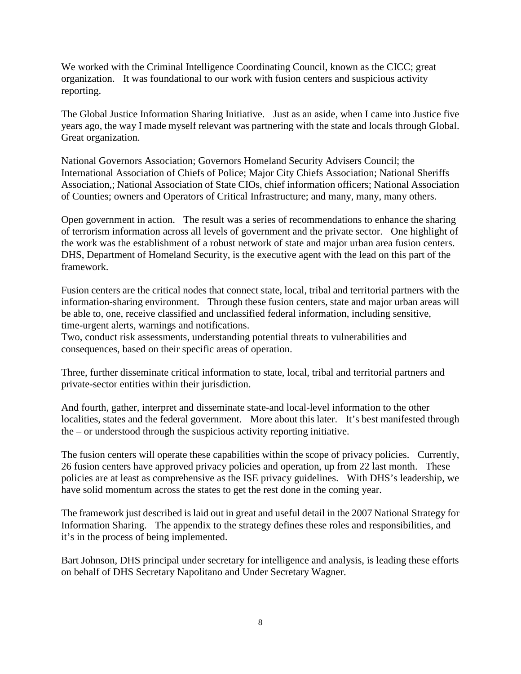We worked with the Criminal Intelligence Coordinating Council, known as the CICC; great organization. It was foundational to our work with fusion centers and suspicious activity reporting.

The Global Justice Information Sharing Initiative. Just as an aside, when I came into Justice five years ago, the way I made myself relevant was partnering with the state and locals through Global. Great organization.

National Governors Association; Governors Homeland Security Advisers Council; the International Association of Chiefs of Police; Major City Chiefs Association; National Sheriffs Association,; National Association of State CIOs, chief information officers; National Association of Counties; owners and Operators of Critical Infrastructure; and many, many, many others.

Open government in action. The result was a series of recommendations to enhance the sharing of terrorism information across all levels of government and the private sector. One highlight of the work was the establishment of a robust network of state and major urban area fusion centers. DHS, Department of Homeland Security, is the executive agent with the lead on this part of the framework.

Fusion centers are the critical nodes that connect state, local, tribal and territorial partners with the information-sharing environment. Through these fusion centers, state and major urban areas will be able to, one, receive classified and unclassified federal information, including sensitive, time-urgent alerts, warnings and notifications.

Two, conduct risk assessments, understanding potential threats to vulnerabilities and consequences, based on their specific areas of operation.

Three, further disseminate critical information to state, local, tribal and territorial partners and private-sector entities within their jurisdiction.

And fourth, gather, interpret and disseminate state-and local-level information to the other localities, states and the federal government. More about this later. It's best manifested through the – or understood through the suspicious activity reporting initiative.

The fusion centers will operate these capabilities within the scope of privacy policies. Currently, 26 fusion centers have approved privacy policies and operation, up from 22 last month. These policies are at least as comprehensive as the ISE privacy guidelines. With DHS's leadership, we have solid momentum across the states to get the rest done in the coming year.

The framework just described is laid out in great and useful detail in the 2007 National Strategy for Information Sharing. The appendix to the strategy defines these roles and responsibilities, and it's in the process of being implemented.

Bart Johnson, DHS principal under secretary for intelligence and analysis, is leading these efforts on behalf of DHS Secretary Napolitano and Under Secretary Wagner.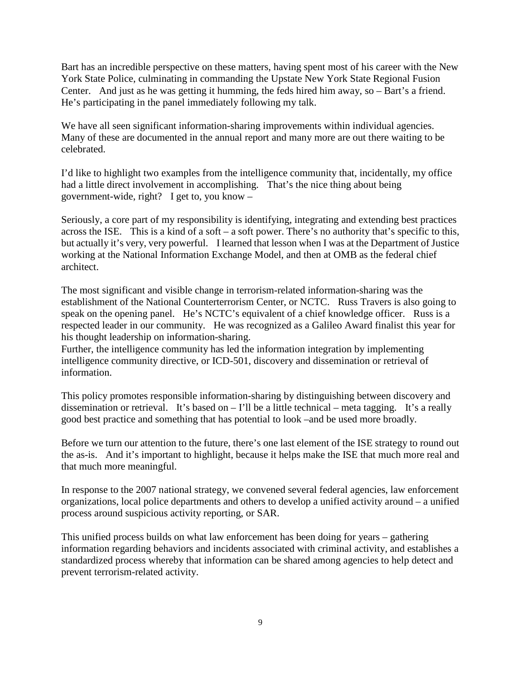Bart has an incredible perspective on these matters, having spent most of his career with the New York State Police, culminating in commanding the Upstate New York State Regional Fusion Center. And just as he was getting it humming, the feds hired him away, so – Bart's a friend. He's participating in the panel immediately following my talk.

We have all seen significant information-sharing improvements within individual agencies. Many of these are documented in the annual report and many more are out there waiting to be celebrated.

I'd like to highlight two examples from the intelligence community that, incidentally, my office had a little direct involvement in accomplishing. That's the nice thing about being government-wide, right? I get to, you know –

Seriously, a core part of my responsibility is identifying, integrating and extending best practices across the ISE. This is a kind of a soft – a soft power. There's no authority that's specific to this, but actually it's very, very powerful. I learned that lesson when I was at the Department of Justice working at the National Information Exchange Model, and then at OMB as the federal chief architect.

The most significant and visible change in terrorism-related information-sharing was the establishment of the National Counterterrorism Center, or NCTC. Russ Travers is also going to speak on the opening panel. He's NCTC's equivalent of a chief knowledge officer. Russ is a respected leader in our community. He was recognized as a Galileo Award finalist this year for his thought leadership on information-sharing.

Further, the intelligence community has led the information integration by implementing intelligence community directive, or ICD-501, discovery and dissemination or retrieval of information.

This policy promotes responsible information-sharing by distinguishing between discovery and dissemination or retrieval. It's based on  $-$  I'll be a little technical – meta tagging. It's a really good best practice and something that has potential to look –and be used more broadly.

Before we turn our attention to the future, there's one last element of the ISE strategy to round out the as-is. And it's important to highlight, because it helps make the ISE that much more real and that much more meaningful.

In response to the 2007 national strategy, we convened several federal agencies, law enforcement organizations, local police departments and others to develop a unified activity around – a unified process around suspicious activity reporting, or SAR.

This unified process builds on what law enforcement has been doing for years – gathering information regarding behaviors and incidents associated with criminal activity, and establishes a standardized process whereby that information can be shared among agencies to help detect and prevent terrorism-related activity.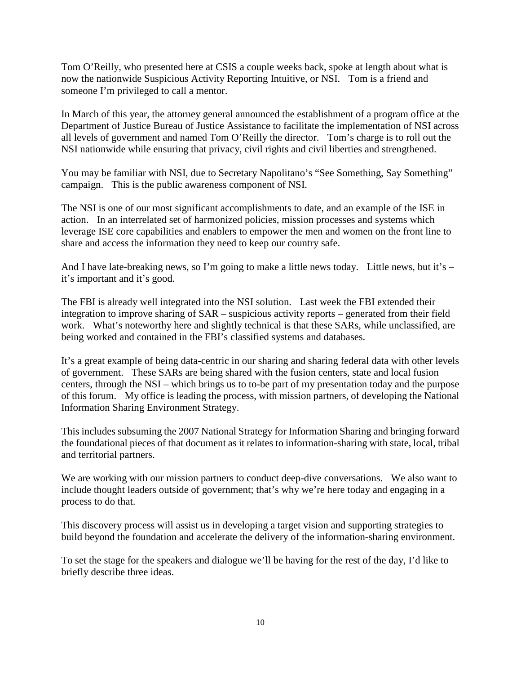Tom O'Reilly, who presented here at CSIS a couple weeks back, spoke at length about what is now the nationwide Suspicious Activity Reporting Intuitive, or NSI. Tom is a friend and someone I'm privileged to call a mentor.

In March of this year, the attorney general announced the establishment of a program office at the Department of Justice Bureau of Justice Assistance to facilitate the implementation of NSI across all levels of government and named Tom O'Reilly the director. Tom's charge is to roll out the NSI nationwide while ensuring that privacy, civil rights and civil liberties and strengthened.

You may be familiar with NSI, due to Secretary Napolitano's "See Something, Say Something" campaign. This is the public awareness component of NSI.

The NSI is one of our most significant accomplishments to date, and an example of the ISE in action. In an interrelated set of harmonized policies, mission processes and systems which leverage ISE core capabilities and enablers to empower the men and women on the front line to share and access the information they need to keep our country safe.

And I have late-breaking news, so I'm going to make a little news today. Little news, but it's – it's important and it's good.

The FBI is already well integrated into the NSI solution. Last week the FBI extended their integration to improve sharing of SAR – suspicious activity reports – generated from their field work. What's noteworthy here and slightly technical is that these SARs, while unclassified, are being worked and contained in the FBI's classified systems and databases.

It's a great example of being data-centric in our sharing and sharing federal data with other levels of government. These SARs are being shared with the fusion centers, state and local fusion centers, through the NSI – which brings us to to-be part of my presentation today and the purpose of this forum. My office is leading the process, with mission partners, of developing the National Information Sharing Environment Strategy.

This includes subsuming the 2007 National Strategy for Information Sharing and bringing forward the foundational pieces of that document as it relates to information-sharing with state, local, tribal and territorial partners.

We are working with our mission partners to conduct deep-dive conversations. We also want to include thought leaders outside of government; that's why we're here today and engaging in a process to do that.

This discovery process will assist us in developing a target vision and supporting strategies to build beyond the foundation and accelerate the delivery of the information-sharing environment.

To set the stage for the speakers and dialogue we'll be having for the rest of the day, I'd like to briefly describe three ideas.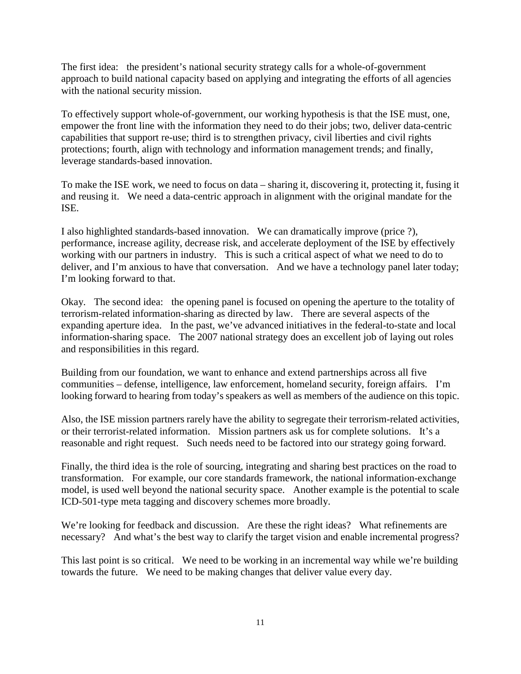The first idea: the president's national security strategy calls for a whole-of-government approach to build national capacity based on applying and integrating the efforts of all agencies with the national security mission.

To effectively support whole-of-government, our working hypothesis is that the ISE must, one, empower the front line with the information they need to do their jobs; two, deliver data-centric capabilities that support re-use; third is to strengthen privacy, civil liberties and civil rights protections; fourth, align with technology and information management trends; and finally, leverage standards-based innovation.

To make the ISE work, we need to focus on data – sharing it, discovering it, protecting it, fusing it and reusing it. We need a data-centric approach in alignment with the original mandate for the ISE.

I also highlighted standards-based innovation. We can dramatically improve (price ?), performance, increase agility, decrease risk, and accelerate deployment of the ISE by effectively working with our partners in industry. This is such a critical aspect of what we need to do to deliver, and I'm anxious to have that conversation. And we have a technology panel later today; I'm looking forward to that.

Okay. The second idea: the opening panel is focused on opening the aperture to the totality of terrorism-related information-sharing as directed by law. There are several aspects of the expanding aperture idea. In the past, we've advanced initiatives in the federal-to-state and local information-sharing space. The 2007 national strategy does an excellent job of laying out roles and responsibilities in this regard.

Building from our foundation, we want to enhance and extend partnerships across all five communities – defense, intelligence, law enforcement, homeland security, foreign affairs. I'm looking forward to hearing from today's speakers as well as members of the audience on this topic.

Also, the ISE mission partners rarely have the ability to segregate their terrorism-related activities, or their terrorist-related information. Mission partners ask us for complete solutions. It's a reasonable and right request. Such needs need to be factored into our strategy going forward.

Finally, the third idea is the role of sourcing, integrating and sharing best practices on the road to transformation. For example, our core standards framework, the national information-exchange model, is used well beyond the national security space. Another example is the potential to scale ICD-501-type meta tagging and discovery schemes more broadly.

We're looking for feedback and discussion. Are these the right ideas? What refinements are necessary? And what's the best way to clarify the target vision and enable incremental progress?

This last point is so critical. We need to be working in an incremental way while we're building towards the future. We need to be making changes that deliver value every day.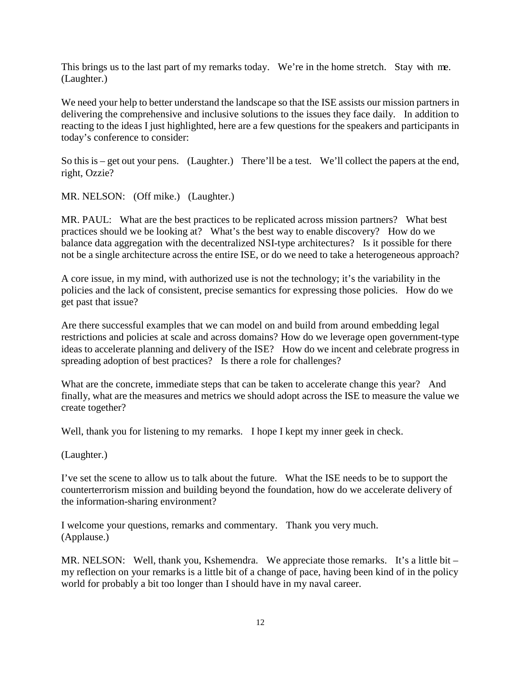This brings us to the last part of my remarks today. We're in the home stretch. Stay with me. (Laughter.)

We need your help to better understand the landscape so that the ISE assists our mission partners in delivering the comprehensive and inclusive solutions to the issues they face daily. In addition to reacting to the ideas I just highlighted, here are a few questions for the speakers and participants in today's conference to consider:

So this is – get out your pens. (Laughter.) There'll be a test. We'll collect the papers at the end, right, Ozzie?

MR. NELSON: (Off mike.) (Laughter.)

MR. PAUL: What are the best practices to be replicated across mission partners? What best practices should we be looking at? What's the best way to enable discovery? How do we balance data aggregation with the decentralized NSI-type architectures? Is it possible for there not be a single architecture across the entire ISE, or do we need to take a heterogeneous approach?

A core issue, in my mind, with authorized use is not the technology; it's the variability in the policies and the lack of consistent, precise semantics for expressing those policies. How do we get past that issue?

Are there successful examples that we can model on and build from around embedding legal restrictions and policies at scale and across domains? How do we leverage open government-type ideas to accelerate planning and delivery of the ISE? How do we incent and celebrate progress in spreading adoption of best practices? Is there a role for challenges?

What are the concrete, immediate steps that can be taken to accelerate change this year? And finally, what are the measures and metrics we should adopt across the ISE to measure the value we create together?

Well, thank you for listening to my remarks. I hope I kept my inner geek in check.

(Laughter.)

I've set the scene to allow us to talk about the future. What the ISE needs to be to support the counterterrorism mission and building beyond the foundation, how do we accelerate delivery of the information-sharing environment?

I welcome your questions, remarks and commentary. Thank you very much. (Applause.)

MR. NELSON: Well, thank you, Kshemendra. We appreciate those remarks. It's a little bit  $$ my reflection on your remarks is a little bit of a change of pace, having been kind of in the policy world for probably a bit too longer than I should have in my naval career.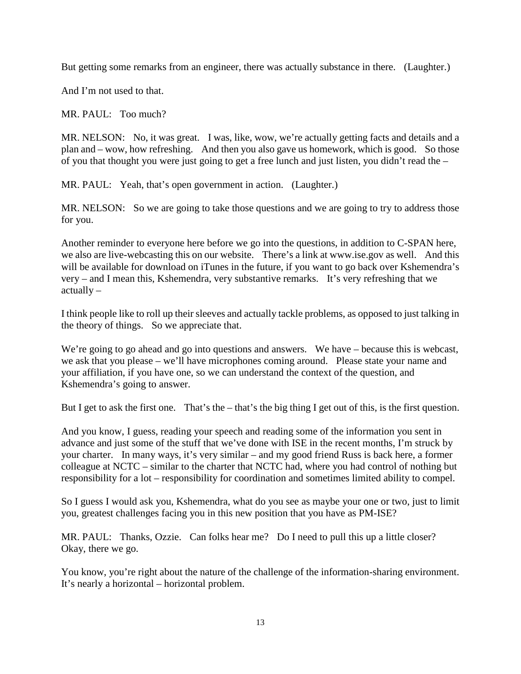But getting some remarks from an engineer, there was actually substance in there. (Laughter.)

And I'm not used to that.

MR. PAUL: Too much?

MR. NELSON: No, it was great. I was, like, wow, we're actually getting facts and details and a plan and – wow, how refreshing. And then you also gave us homework, which is good. So those of you that thought you were just going to get a free lunch and just listen, you didn't read the –

MR. PAUL: Yeah, that's open government in action. (Laughter.)

MR. NELSON: So we are going to take those questions and we are going to try to address those for you.

Another reminder to everyone here before we go into the questions, in addition to C-SPAN here, we also are live-webcasting this on our website. There's a link at www.ise.gov as well. And this will be available for download on iTunes in the future, if you want to go back over Kshemendra's very – and I mean this, Kshemendra, very substantive remarks. It's very refreshing that we actually –

I think people like to roll up their sleeves and actually tackle problems, as opposed to just talking in the theory of things. So we appreciate that.

We're going to go ahead and go into questions and answers. We have – because this is webcast, we ask that you please – we'll have microphones coming around. Please state your name and your affiliation, if you have one, so we can understand the context of the question, and Kshemendra's going to answer.

But I get to ask the first one. That's the – that's the big thing I get out of this, is the first question.

And you know, I guess, reading your speech and reading some of the information you sent in advance and just some of the stuff that we've done with ISE in the recent months, I'm struck by your charter. In many ways, it's very similar – and my good friend Russ is back here, a former colleague at NCTC – similar to the charter that NCTC had, where you had control of nothing but responsibility for a lot – responsibility for coordination and sometimes limited ability to compel.

So I guess I would ask you, Kshemendra, what do you see as maybe your one or two, just to limit you, greatest challenges facing you in this new position that you have as PM-ISE?

MR. PAUL: Thanks, Ozzie. Can folks hear me? Do I need to pull this up a little closer? Okay, there we go.

You know, you're right about the nature of the challenge of the information-sharing environment. It's nearly a horizontal – horizontal problem.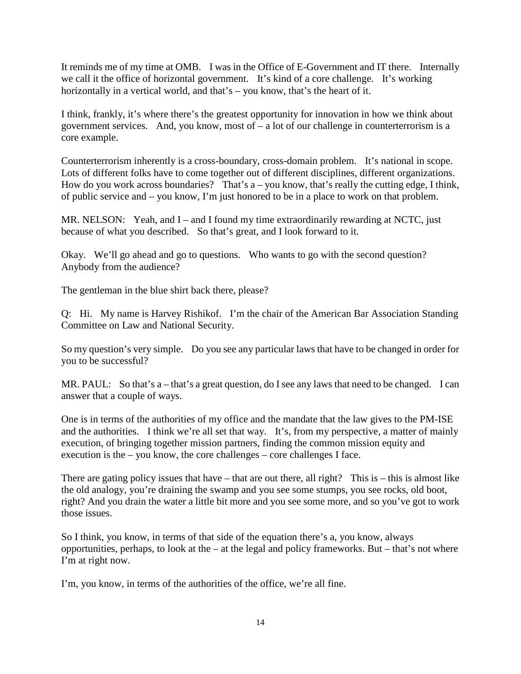It reminds me of my time at OMB. I was in the Office of E-Government and IT there. Internally we call it the office of horizontal government. It's kind of a core challenge. It's working horizontally in a vertical world, and that's – you know, that's the heart of it.

I think, frankly, it's where there's the greatest opportunity for innovation in how we think about government services. And, you know, most of  $-$  a lot of our challenge in counterterrorism is a core example.

Counterterrorism inherently is a cross-boundary, cross-domain problem. It's national in scope. Lots of different folks have to come together out of different disciplines, different organizations. How do you work across boundaries? That's  $a$  – you know, that's really the cutting edge, I think, of public service and – you know, I'm just honored to be in a place to work on that problem.

MR. NELSON: Yeah, and I – and I found my time extraordinarily rewarding at NCTC, just because of what you described. So that's great, and I look forward to it.

Okay. We'll go ahead and go to questions. Who wants to go with the second question? Anybody from the audience?

The gentleman in the blue shirt back there, please?

Q: Hi. My name is Harvey Rishikof. I'm the chair of the American Bar Association Standing Committee on Law and National Security.

So my question's very simple. Do you see any particular laws that have to be changed in order for you to be successful?

MR. PAUL: So that's a – that's a great question, do I see any laws that need to be changed. I can answer that a couple of ways.

One is in terms of the authorities of my office and the mandate that the law gives to the PM-ISE and the authorities. I think we're all set that way. It's, from my perspective, a matter of mainly execution, of bringing together mission partners, finding the common mission equity and execution is the – you know, the core challenges – core challenges I face.

There are gating policy issues that have – that are out there, all right? This is – this is almost like the old analogy, you're draining the swamp and you see some stumps, you see rocks, old boot, right? And you drain the water a little bit more and you see some more, and so you've got to work those issues.

So I think, you know, in terms of that side of the equation there's a, you know, always opportunities, perhaps, to look at the – at the legal and policy frameworks. But – that's not where I'm at right now.

I'm, you know, in terms of the authorities of the office, we're all fine.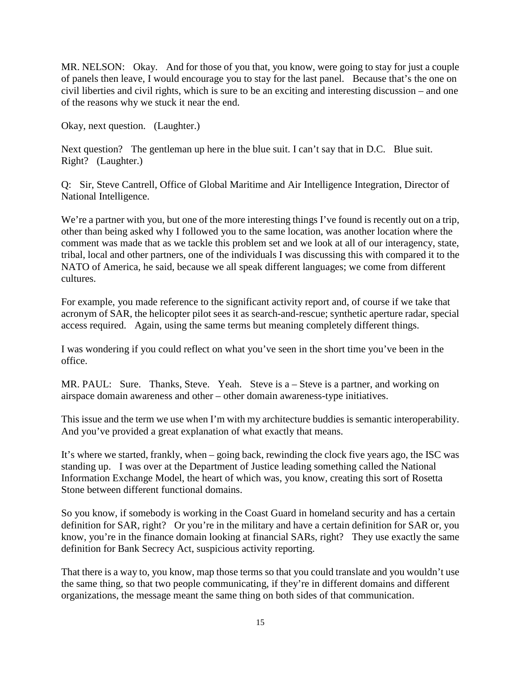MR. NELSON: Okay. And for those of you that, you know, were going to stay for just a couple of panels then leave, I would encourage you to stay for the last panel. Because that's the one on civil liberties and civil rights, which is sure to be an exciting and interesting discussion – and one of the reasons why we stuck it near the end.

Okay, next question. (Laughter.)

Next question? The gentleman up here in the blue suit. I can't say that in D.C. Blue suit. Right? (Laughter.)

Q: Sir, Steve Cantrell, Office of Global Maritime and Air Intelligence Integration, Director of National Intelligence.

We're a partner with you, but one of the more interesting things I've found is recently out on a trip, other than being asked why I followed you to the same location, was another location where the comment was made that as we tackle this problem set and we look at all of our interagency, state, tribal, local and other partners, one of the individuals I was discussing this with compared it to the NATO of America, he said, because we all speak different languages; we come from different cultures.

For example, you made reference to the significant activity report and, of course if we take that acronym of SAR, the helicopter pilot sees it as search-and-rescue; synthetic aperture radar, special access required. Again, using the same terms but meaning completely different things.

I was wondering if you could reflect on what you've seen in the short time you've been in the office.

MR. PAUL: Sure. Thanks, Steve. Yeah. Steve is a – Steve is a partner, and working on airspace domain awareness and other – other domain awareness-type initiatives.

This issue and the term we use when I'm with my architecture buddies is semantic interoperability. And you've provided a great explanation of what exactly that means.

It's where we started, frankly, when – going back, rewinding the clock five years ago, the ISC was standing up. I was over at the Department of Justice leading something called the National Information Exchange Model, the heart of which was, you know, creating this sort of Rosetta Stone between different functional domains.

So you know, if somebody is working in the Coast Guard in homeland security and has a certain definition for SAR, right? Or you're in the military and have a certain definition for SAR or, you know, you're in the finance domain looking at financial SARs, right? They use exactly the same definition for Bank Secrecy Act, suspicious activity reporting.

That there is a way to, you know, map those terms so that you could translate and you wouldn't use the same thing, so that two people communicating, if they're in different domains and different organizations, the message meant the same thing on both sides of that communication.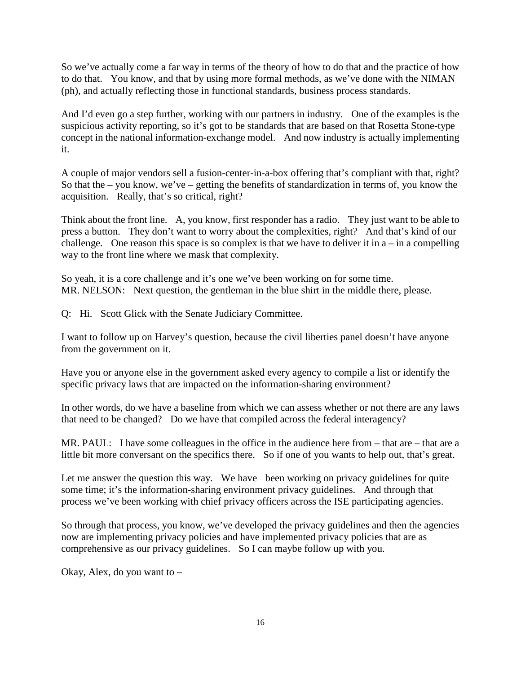So we've actually come a far way in terms of the theory of how to do that and the practice of how to do that. You know, and that by using more formal methods, as we've done with the NIMAN (ph), and actually reflecting those in functional standards, business process standards.

And I'd even go a step further, working with our partners in industry. One of the examples is the suspicious activity reporting, so it's got to be standards that are based on that Rosetta Stone-type concept in the national information-exchange model. And now industry is actually implementing it.

A couple of major vendors sell a fusion-center-in-a-box offering that's compliant with that, right? So that the – you know, we've – getting the benefits of standardization in terms of, you know the acquisition. Really, that's so critical, right?

Think about the front line. A, you know, first responder has a radio. They just want to be able to press a button. They don't want to worry about the complexities, right? And that's kind of our challenge. One reason this space is so complex is that we have to deliver it in  $a$  – in a compelling way to the front line where we mask that complexity.

So yeah, it is a core challenge and it's one we've been working on for some time. MR. NELSON: Next question, the gentleman in the blue shirt in the middle there, please.

Q: Hi. Scott Glick with the Senate Judiciary Committee.

I want to follow up on Harvey's question, because the civil liberties panel doesn't have anyone from the government on it.

Have you or anyone else in the government asked every agency to compile a list or identify the specific privacy laws that are impacted on the information-sharing environment?

In other words, do we have a baseline from which we can assess whether or not there are any laws that need to be changed? Do we have that compiled across the federal interagency?

MR. PAUL: I have some colleagues in the office in the audience here from – that are – that are a little bit more conversant on the specifics there. So if one of you wants to help out, that's great.

Let me answer the question this way. We have been working on privacy guidelines for quite some time; it's the information-sharing environment privacy guidelines. And through that process we've been working with chief privacy officers across the ISE participating agencies.

So through that process, you know, we've developed the privacy guidelines and then the agencies now are implementing privacy policies and have implemented privacy policies that are as comprehensive as our privacy guidelines. So I can maybe follow up with you.

Okay, Alex, do you want to –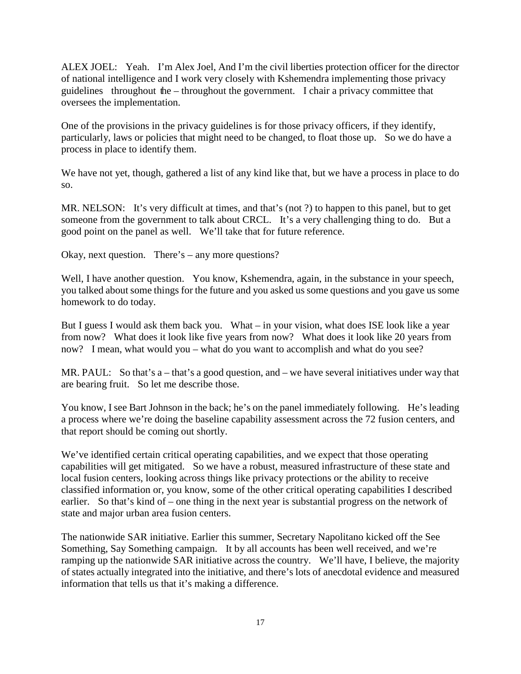ALEX JOEL: Yeah. I'm Alex Joel, And I'm the civil liberties protection officer for the director of national intelligence and I work very closely with Kshemendra implementing those privacy guidelines throughout the – throughout the government. I chair a privacy committee that oversees the implementation.

One of the provisions in the privacy guidelines is for those privacy officers, if they identify, particularly, laws or policies that might need to be changed, to float those up. So we do have a process in place to identify them.

We have not yet, though, gathered a list of any kind like that, but we have a process in place to do so.

MR. NELSON: It's very difficult at times, and that's (not ?) to happen to this panel, but to get someone from the government to talk about CRCL. It's a very challenging thing to do. But a good point on the panel as well. We'll take that for future reference.

Okay, next question. There's – any more questions?

Well, I have another question. You know, Kshemendra, again, in the substance in your speech, you talked about some things for the future and you asked us some questions and you gave us some homework to do today.

But I guess I would ask them back you. What – in your vision, what does ISE look like a year from now? What does it look like five years from now? What does it look like 20 years from now? I mean, what would you – what do you want to accomplish and what do you see?

MR. PAUL: So that's a – that's a good question, and – we have several initiatives under way that are bearing fruit. So let me describe those.

You know, I see Bart Johnson in the back; he's on the panel immediately following. He's leading a process where we're doing the baseline capability assessment across the 72 fusion centers, and that report should be coming out shortly.

We've identified certain critical operating capabilities, and we expect that those operating capabilities will get mitigated. So we have a robust, measured infrastructure of these state and local fusion centers, looking across things like privacy protections or the ability to receive classified information or, you know, some of the other critical operating capabilities I described earlier. So that's kind of – one thing in the next year is substantial progress on the network of state and major urban area fusion centers.

The nationwide SAR initiative. Earlier this summer, Secretary Napolitano kicked off the See Something, Say Something campaign. It by all accounts has been well received, and we're ramping up the nationwide SAR initiative across the country. We'll have, I believe, the majority of states actually integrated into the initiative, and there's lots of anecdotal evidence and measured information that tells us that it's making a difference.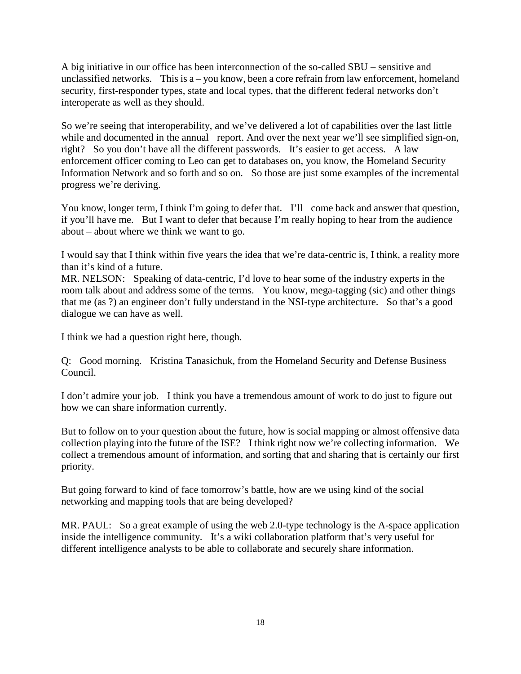A big initiative in our office has been interconnection of the so-called SBU – sensitive and unclassified networks. This is  $a - y$  know, been a core refrain from law enforcement, homeland security, first-responder types, state and local types, that the different federal networks don't interoperate as well as they should.

So we're seeing that interoperability, and we've delivered a lot of capabilities over the last little while and documented in the annual report. And over the next year we'll see simplified sign-on, right? So you don't have all the different passwords. It's easier to get access. A law enforcement officer coming to Leo can get to databases on, you know, the Homeland Security Information Network and so forth and so on. So those are just some examples of the incremental progress we're deriving.

You know, longer term, I think I'm going to defer that. I'll come back and answer that question, if you'll have me. But I want to defer that because I'm really hoping to hear from the audience about – about where we think we want to go.

I would say that I think within five years the idea that we're data-centric is, I think, a reality more than it's kind of a future.

MR. NELSON: Speaking of data-centric, I'd love to hear some of the industry experts in the room talk about and address some of the terms. You know, mega-tagging (sic) and other things that me (as ?) an engineer don't fully understand in the NSI-type architecture. So that's a good dialogue we can have as well.

I think we had a question right here, though.

Q: Good morning. Kristina Tanasichuk, from the Homeland Security and Defense Business Council.

I don't admire your job. I think you have a tremendous amount of work to do just to figure out how we can share information currently.

But to follow on to your question about the future, how is social mapping or almost offensive data collection playing into the future of the ISE? I think right now we're collecting information. We collect a tremendous amount of information, and sorting that and sharing that is certainly our first priority.

But going forward to kind of face tomorrow's battle, how are we using kind of the social networking and mapping tools that are being developed?

MR. PAUL: So a great example of using the web 2.0-type technology is the A-space application inside the intelligence community. It's a wiki collaboration platform that's very useful for different intelligence analysts to be able to collaborate and securely share information.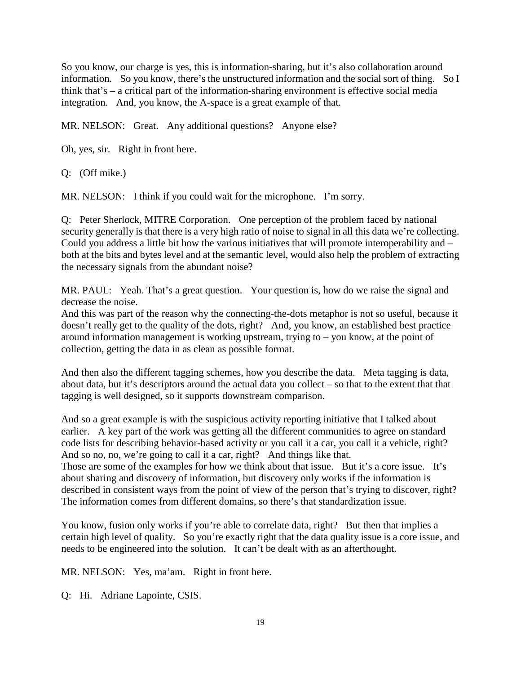So you know, our charge is yes, this is information-sharing, but it's also collaboration around information. So you know, there's the unstructured information and the social sort of thing. So I think that's – a critical part of the information-sharing environment is effective social media integration. And, you know, the A-space is a great example of that.

MR. NELSON: Great. Any additional questions? Anyone else?

Oh, yes, sir. Right in front here.

Q: (Off mike.)

MR. NELSON: I think if you could wait for the microphone. I'm sorry.

Q: Peter Sherlock, MITRE Corporation. One perception of the problem faced by national security generally is that there is a very high ratio of noise to signal in all this data we're collecting. Could you address a little bit how the various initiatives that will promote interoperability and – both at the bits and bytes level and at the semantic level, would also help the problem of extracting the necessary signals from the abundant noise?

MR. PAUL: Yeah. That's a great question. Your question is, how do we raise the signal and decrease the noise.

And this was part of the reason why the connecting-the-dots metaphor is not so useful, because it doesn't really get to the quality of the dots, right? And, you know, an established best practice around information management is working upstream, trying to – you know, at the point of collection, getting the data in as clean as possible format.

And then also the different tagging schemes, how you describe the data. Meta tagging is data, about data, but it's descriptors around the actual data you collect – so that to the extent that that tagging is well designed, so it supports downstream comparison.

And so a great example is with the suspicious activity reporting initiative that I talked about earlier. A key part of the work was getting all the different communities to agree on standard code lists for describing behavior-based activity or you call it a car, you call it a vehicle, right? And so no, no, we're going to call it a car, right? And things like that.

Those are some of the examples for how we think about that issue. But it's a core issue. It's about sharing and discovery of information, but discovery only works if the information is described in consistent ways from the point of view of the person that's trying to discover, right? The information comes from different domains, so there's that standardization issue.

You know, fusion only works if you're able to correlate data, right? But then that implies a certain high level of quality. So you're exactly right that the data quality issue is a core issue, and needs to be engineered into the solution. It can't be dealt with as an afterthought.

MR. NELSON: Yes, ma'am. Right in front here.

Q: Hi. Adriane Lapointe, CSIS.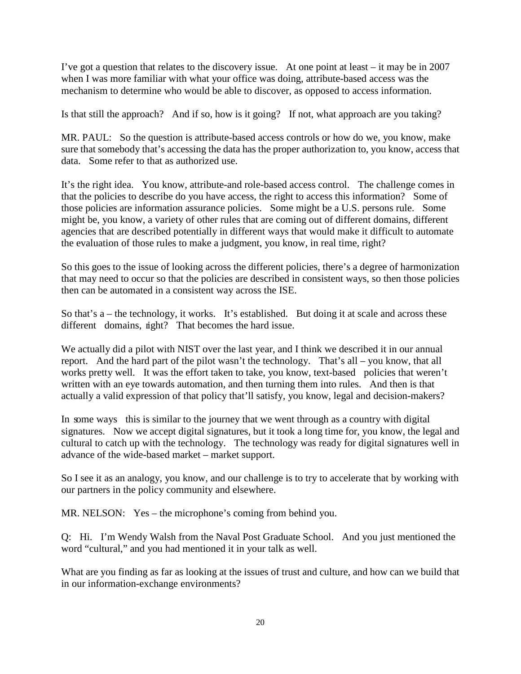I've got a question that relates to the discovery issue. At one point at least – it may be in 2007 when I was more familiar with what your office was doing, attribute-based access was the mechanism to determine who would be able to discover, as opposed to access information.

Is that still the approach? And if so, how is it going? If not, what approach are you taking?

MR. PAUL: So the question is attribute-based access controls or how do we, you know, make sure that somebody that's accessing the data has the proper authorization to, you know, access that data. Some refer to that as authorized use.

It's the right idea. You know, attribute-and role-based access control. The challenge comes in that the policies to describe do you have access, the right to access this information? Some of those policies are information assurance policies. Some might be a U.S. persons rule. Some might be, you know, a variety of other rules that are coming out of different domains, different agencies that are described potentially in different ways that would make it difficult to automate the evaluation of those rules to make a judgment, you know, in real time, right?

So this goes to the issue of looking across the different policies, there's a degree of harmonization that may need to occur so that the policies are described in consistent ways, so then those policies then can be automated in a consistent way across the ISE.

So that's a – the technology, it works. It's established. But doing it at scale and across these different domains, right? That becomes the hard issue.

We actually did a pilot with NIST over the last year, and I think we described it in our annual report. And the hard part of the pilot wasn't the technology. That's all – you know, that all works pretty well. It was the effort taken to take, you know, text-based policies that weren't written with an eye towards automation, and then turning them into rules. And then is that actually a valid expression of that policy that'll satisfy, you know, legal and decision-makers?

In some ways this is similar to the journey that we went through as a country with digital signatures. Now we accept digital signatures, but it took a long time for, you know, the legal and cultural to catch up with the technology. The technology was ready for digital signatures well in advance of the wide-based market – market support.

So I see it as an analogy, you know, and our challenge is to try to accelerate that by working with our partners in the policy community and elsewhere.

MR. NELSON: Yes – the microphone's coming from behind you.

Q: Hi. I'm Wendy Walsh from the Naval Post Graduate School. And you just mentioned the word "cultural," and you had mentioned it in your talk as well.

What are you finding as far as looking at the issues of trust and culture, and how can we build that in our information-exchange environments?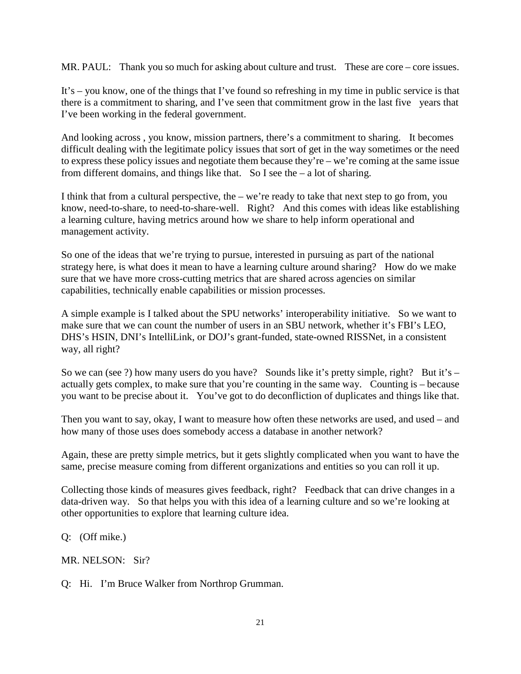MR. PAUL: Thank you so much for asking about culture and trust. These are core – core issues.

It's – you know, one of the things that I've found so refreshing in my time in public service is that there is a commitment to sharing, and I've seen that commitment grow in the last five years that I've been working in the federal government.

And looking across , you know, mission partners, there's a commitment to sharing. It becomes difficult dealing with the legitimate policy issues that sort of get in the way sometimes or the need to express these policy issues and negotiate them because they're – we're coming at the same issue from different domains, and things like that. So I see the  $-$  a lot of sharing.

I think that from a cultural perspective, the – we're ready to take that next step to go from, you know, need-to-share, to need-to-share-well. Right? And this comes with ideas like establishing a learning culture, having metrics around how we share to help inform operational and management activity.

So one of the ideas that we're trying to pursue, interested in pursuing as part of the national strategy here, is what does it mean to have a learning culture around sharing? How do we make sure that we have more cross-cutting metrics that are shared across agencies on similar capabilities, technically enable capabilities or mission processes.

A simple example is I talked about the SPU networks' interoperability initiative. So we want to make sure that we can count the number of users in an SBU network, whether it's FBI's LEO, DHS's HSIN, DNI's IntelliLink, or DOJ's grant-funded, state-owned RISSNet, in a consistent way, all right?

So we can (see ?) how many users do you have? Sounds like it's pretty simple, right? But it's – actually gets complex, to make sure that you're counting in the same way. Counting is – because you want to be precise about it. You've got to do deconfliction of duplicates and things like that.

Then you want to say, okay, I want to measure how often these networks are used, and used – and how many of those uses does somebody access a database in another network?

Again, these are pretty simple metrics, but it gets slightly complicated when you want to have the same, precise measure coming from different organizations and entities so you can roll it up.

Collecting those kinds of measures gives feedback, right? Feedback that can drive changes in a data-driven way. So that helps you with this idea of a learning culture and so we're looking at other opportunities to explore that learning culture idea.

Q: (Off mike.)

MR. NELSON: Sir?

Q: Hi. I'm Bruce Walker from Northrop Grumman.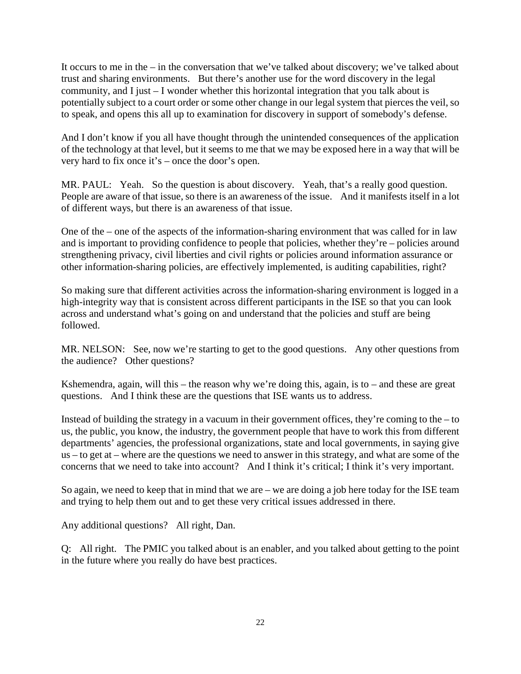It occurs to me in the – in the conversation that we've talked about discovery; we've talked about trust and sharing environments. But there's another use for the word discovery in the legal community, and I just – I wonder whether this horizontal integration that you talk about is potentially subject to a court order or some other change in our legal system that pierces the veil, so to speak, and opens this all up to examination for discovery in support of somebody's defense.

And I don't know if you all have thought through the unintended consequences of the application of the technology at that level, but it seems to me that we may be exposed here in a way that will be very hard to fix once it's – once the door's open.

MR. PAUL: Yeah. So the question is about discovery. Yeah, that's a really good question. People are aware of that issue, so there is an awareness of the issue. And it manifests itself in a lot of different ways, but there is an awareness of that issue.

One of the – one of the aspects of the information-sharing environment that was called for in law and is important to providing confidence to people that policies, whether they're – policies around strengthening privacy, civil liberties and civil rights or policies around information assurance or other information-sharing policies, are effectively implemented, is auditing capabilities, right?

So making sure that different activities across the information-sharing environment is logged in a high-integrity way that is consistent across different participants in the ISE so that you can look across and understand what's going on and understand that the policies and stuff are being followed.

MR. NELSON: See, now we're starting to get to the good questions. Any other questions from the audience? Other questions?

Kshemendra, again, will this – the reason why we're doing this, again, is to – and these are great questions. And I think these are the questions that ISE wants us to address.

Instead of building the strategy in a vacuum in their government offices, they're coming to the  $-$  to us, the public, you know, the industry, the government people that have to work this from different departments' agencies, the professional organizations, state and local governments, in saying give us – to get at – where are the questions we need to answer in this strategy, and what are some of the concerns that we need to take into account? And I think it's critical; I think it's very important.

So again, we need to keep that in mind that we are – we are doing a job here today for the ISE team and trying to help them out and to get these very critical issues addressed in there.

Any additional questions? All right, Dan.

Q: All right. The PMIC you talked about is an enabler, and you talked about getting to the point in the future where you really do have best practices.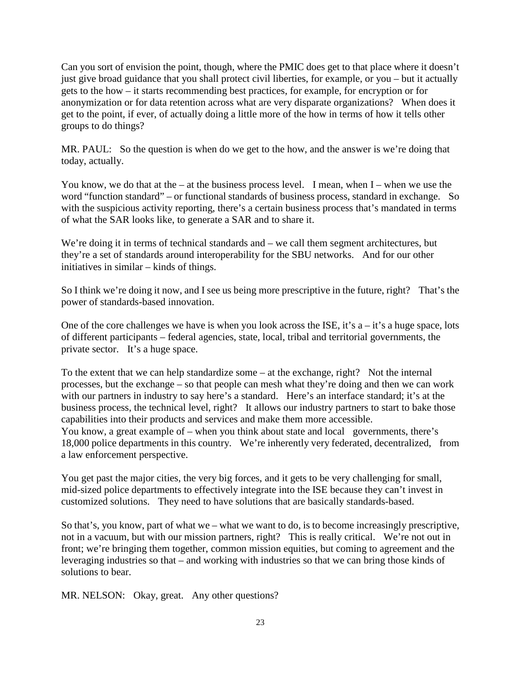Can you sort of envision the point, though, where the PMIC does get to that place where it doesn't just give broad guidance that you shall protect civil liberties, for example, or you – but it actually gets to the how – it starts recommending best practices, for example, for encryption or for anonymization or for data retention across what are very disparate organizations? When does it get to the point, if ever, of actually doing a little more of the how in terms of how it tells other groups to do things?

MR. PAUL: So the question is when do we get to the how, and the answer is we're doing that today, actually.

You know, we do that at the – at the business process level. I mean, when  $I$  – when we use the word "function standard" – or functional standards of business process, standard in exchange. So with the suspicious activity reporting, there's a certain business process that's mandated in terms of what the SAR looks like, to generate a SAR and to share it.

We're doing it in terms of technical standards and – we call them segment architectures, but they're a set of standards around interoperability for the SBU networks. And for our other initiatives in similar – kinds of things.

So I think we're doing it now, and I see us being more prescriptive in the future, right? That's the power of standards-based innovation.

One of the core challenges we have is when you look across the ISE, it's  $a - it's$  a huge space, lots of different participants – federal agencies, state, local, tribal and territorial governments, the private sector. It's a huge space.

To the extent that we can help standardize some  $-$  at the exchange, right? Not the internal processes, but the exchange – so that people can mesh what they're doing and then we can work with our partners in industry to say here's a standard. Here's an interface standard; it's at the business process, the technical level, right? It allows our industry partners to start to bake those capabilities into their products and services and make them more accessible. You know, a great example of – when you think about state and local governments, there's 18,000 police departments in this country. We're inherently very federated, decentralized, from a law enforcement perspective.

You get past the major cities, the very big forces, and it gets to be very challenging for small, mid-sized police departments to effectively integrate into the ISE because they can't invest in customized solutions. They need to have solutions that are basically standards-based.

So that's, you know, part of what we – what we want to do, is to become increasingly prescriptive, not in a vacuum, but with our mission partners, right? This is really critical. We're not out in front; we're bringing them together, common mission equities, but coming to agreement and the leveraging industries so that – and working with industries so that we can bring those kinds of solutions to bear.

MR. NELSON: Okay, great. Any other questions?